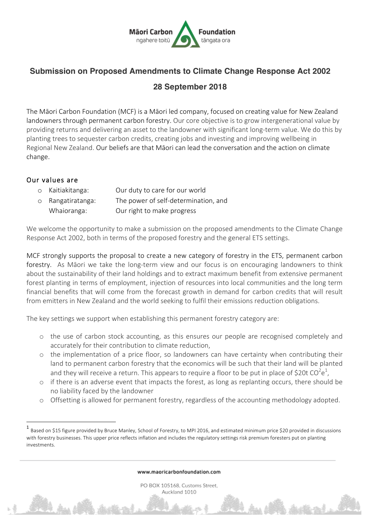

## **Submission on Proposed Amendments to Climate Change Response Act 2002 28 September 2018**

The Māori Carbon Foundation (MCF) is a Māori led company, focused on creating value for New Zealand landowners through permanent carbon forestry. Our core objective is to grow intergenerational value by providing returns and delivering an asset to the landowner with significant long-term value. We do this by planting trees to sequester carbon credits, creating jobs and investing and improving wellbeing in Regional New Zealand. Our beliefs are that Māori can lead the conversation and the action on climate change.

## Our values are

 

| o Kaitiakitanga:  | Our duty to care for our world       |
|-------------------|--------------------------------------|
| o Rangatiratanga: | The power of self-determination, and |
| Whaioranga:       | Our right to make progress           |

We welcome the opportunity to make a submission on the proposed amendments to the Climate Change Response Act 2002, both in terms of the proposed forestry and the general ETS settings.

MCF strongly supports the proposal to create a new category of forestry in the ETS, permanent carbon forestry. As Māori we take the long-term view and our focus is on encouraging landowners to think about the sustainability of their land holdings and to extract maximum benefit from extensive permanent forest planting in terms of employment, injection of resources into local communities and the long term financial benefits that will come from the forecast growth in demand for carbon credits that will result from emitters in New Zealand and the world seeking to fulfil their emissions reduction obligations.

The key settings we support when establishing this permanent forestry category are:

- o the use of carbon stock accounting, as this ensures our people are recognised completely and accurately for their contribution to climate reduction,
- o the implementation of a price floor, so landowners can have certainty when contributing their land to permanent carbon forestry that the economics will be such that their land will be planted and they will receive a return. This appears to require a floor to be put in place of \$20t CO<sup>2</sup>e<sup>1</sup>,
- o if there is an adverse event that impacts the forest, as long as replanting occurs, there should be no liability faced by the landowner
- o Offsetting is allowed for permanent forestry, regardless of the accounting methodology adopted.

www.maoricarbonfoundation.com

PO BOX 105168, Customs Street, Auckland 1010

Based on \$15 figure provided by Bruce Manley, School of Forestry, to MPI 2016, and estimated minimum price \$20 provided in discussions with forestry businesses. This upper price reflects inflation and includes the regulatory settings risk premium foresters put on planting investments.